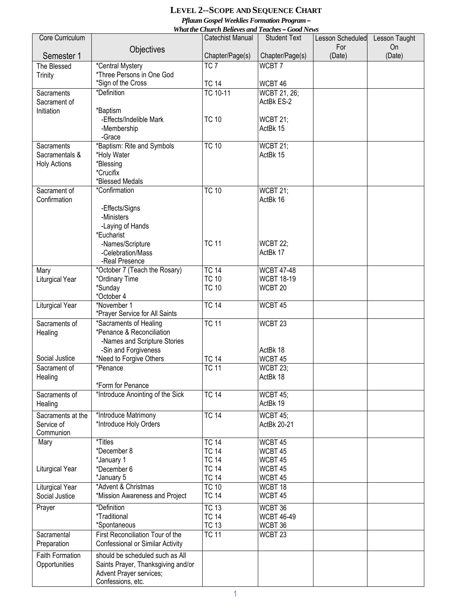## **LEVEL 2--SCOPE AND SEQUENCE CHART**

*Pflaum Gospel Weeklies Formation Program –*

| What the Church Believes and Teaches - Good News |                                                       |                              |                                |                                |                     |  |  |  |  |
|--------------------------------------------------|-------------------------------------------------------|------------------------------|--------------------------------|--------------------------------|---------------------|--|--|--|--|
| Core Curriculum                                  |                                                       | <b>Catechist Manual</b>      | <b>Student Text</b>            | <b>Lesson Scheduled</b><br>For | Lesson Taught<br>On |  |  |  |  |
| Semester 1                                       | Objectives                                            | Chapter/Page(s)              | Chapter/Page(s)                | (Date)                         | (Date)              |  |  |  |  |
| The Blessed                                      | *Central Mystery                                      | TC <sub>7</sub>              | WCBT7                          |                                |                     |  |  |  |  |
| <b>Trinity</b>                                   | *Three Persons in One God                             |                              |                                |                                |                     |  |  |  |  |
| Sacraments                                       | *Sign of the Cross<br>*Definition                     | <b>TC 14</b><br>TC 10-11     | WCBT 46<br><b>WCBT 21, 26;</b> |                                |                     |  |  |  |  |
| Sacrament of                                     |                                                       |                              | ActBk ES-2                     |                                |                     |  |  |  |  |
| Initiation                                       | *Baptism                                              |                              |                                |                                |                     |  |  |  |  |
|                                                  | -Effects/Indelible Mark                               | <b>TC 10</b>                 | <b>WCBT 21;</b>                |                                |                     |  |  |  |  |
|                                                  | -Membership                                           |                              | ActBk 15                       |                                |                     |  |  |  |  |
| <b>Sacraments</b>                                | -Grace<br>*Baptism: Rite and Symbols                  | <b>TC 10</b>                 | <b>WCBT 21;</b>                |                                |                     |  |  |  |  |
| Sacramentals &                                   | *Holy Water                                           |                              | ActBk 15                       |                                |                     |  |  |  |  |
| <b>Holy Actions</b>                              | *Blessing                                             |                              |                                |                                |                     |  |  |  |  |
|                                                  | *Crucifix                                             |                              |                                |                                |                     |  |  |  |  |
|                                                  | *Blessed Medals                                       |                              |                                |                                |                     |  |  |  |  |
| Sacrament of<br>Confirmation                     | *Confirmation                                         | <b>TC 10</b>                 | WCBT 21;<br>ActBk 16           |                                |                     |  |  |  |  |
|                                                  | -Effects/Signs                                        |                              |                                |                                |                     |  |  |  |  |
|                                                  | -Ministers                                            |                              |                                |                                |                     |  |  |  |  |
|                                                  | -Laying of Hands                                      |                              |                                |                                |                     |  |  |  |  |
|                                                  | *Eucharist                                            |                              |                                |                                |                     |  |  |  |  |
|                                                  | -Names/Scripture<br>-Celebration/Mass                 | <b>TC 11</b>                 | <b>WCBT 22:</b><br>ActBk 17    |                                |                     |  |  |  |  |
|                                                  | -Real Presence                                        |                              |                                |                                |                     |  |  |  |  |
| Mary                                             | *October 7 (Teach the Rosary)                         | <b>TC 14</b>                 | <b>WCBT 47-48</b>              |                                |                     |  |  |  |  |
| Liturgical Year                                  | *Ordinary Time                                        | <b>TC 10</b>                 | <b>WCBT 18-19</b>              |                                |                     |  |  |  |  |
|                                                  | *Sunday<br>*October 4                                 | <b>TC 10</b>                 | WCBT <sub>20</sub>             |                                |                     |  |  |  |  |
| <b>Liturgical Year</b>                           | *November 1                                           | <b>TC 14</b>                 | WCBT 45                        |                                |                     |  |  |  |  |
|                                                  | *Prayer Service for All Saints                        |                              |                                |                                |                     |  |  |  |  |
| Sacraments of                                    | *Sacraments of Healing                                | <b>TC 11</b>                 | WCBT <sub>23</sub>             |                                |                     |  |  |  |  |
| Healing                                          | *Penance & Reconciliation                             |                              |                                |                                |                     |  |  |  |  |
|                                                  | -Names and Scripture Stories<br>-Sin and Forgiveness  |                              | ActBk 18                       |                                |                     |  |  |  |  |
| Social Justice                                   | *Need to Forgive Others                               | <b>TC 14</b>                 | WCBT 45                        |                                |                     |  |  |  |  |
| Sacrament of                                     | *Penance                                              | <b>TC 11</b>                 | <b>WCBT 23;</b>                |                                |                     |  |  |  |  |
| Healing                                          |                                                       |                              | ActBk 18                       |                                |                     |  |  |  |  |
|                                                  | *Form for Penance<br>*Introduce Anointing of the Sick | <b>TC 14</b>                 |                                |                                |                     |  |  |  |  |
| Sacraments of<br>Healing                         |                                                       |                              | <b>WCBT 45;</b><br>ActBk 19    |                                |                     |  |  |  |  |
| Sacraments at the                                | *Introduce Matrimony                                  | <b>TC 14</b>                 | <b>WCBT 45;</b>                |                                |                     |  |  |  |  |
| Service of                                       | *Introduce Holy Orders                                |                              | ActBk 20-21                    |                                |                     |  |  |  |  |
| Communion                                        |                                                       |                              |                                |                                |                     |  |  |  |  |
| Mary                                             | *Titles                                               | <b>TC 14</b>                 | WCBT 45                        |                                |                     |  |  |  |  |
|                                                  | *December 8<br>*January 1                             | <b>TC 14</b><br><b>TC 14</b> | WCBT 45<br>WCBT 45             |                                |                     |  |  |  |  |
| <b>Liturgical Year</b>                           | *December 6                                           | <b>TC 14</b>                 | WCBT 45                        |                                |                     |  |  |  |  |
|                                                  | *January 5                                            | <b>TC 14</b>                 | WCBT 45                        |                                |                     |  |  |  |  |
| Liturgical Year                                  | *Advent & Christmas                                   | <b>TC 10</b>                 | WCBT 18                        |                                |                     |  |  |  |  |
| Social Justice                                   | *Mission Awareness and Project                        | <b>TC 14</b>                 | WCBT 45                        |                                |                     |  |  |  |  |
| Prayer                                           | *Definition                                           | <b>TC 13</b>                 | WCBT 36                        |                                |                     |  |  |  |  |
|                                                  | <i>*Traditional</i><br>*Spontaneous                   | <b>TC 14</b>                 | <b>WCBT 46-49</b>              |                                |                     |  |  |  |  |
| Sacramental                                      | First Reconciliation Tour of the                      | <b>TC 13</b><br><b>TC 11</b> | WCBT 36<br>WCBT <sub>23</sub>  |                                |                     |  |  |  |  |
| Preparation                                      | Confessional or Similar Activity                      |                              |                                |                                |                     |  |  |  |  |
| <b>Faith Formation</b>                           | should be scheduled such as All                       |                              |                                |                                |                     |  |  |  |  |
| Opportunities                                    | Saints Prayer, Thanksgiving and/or                    |                              |                                |                                |                     |  |  |  |  |
|                                                  | Advent Prayer services;<br>Confessions, etc.          |                              |                                |                                |                     |  |  |  |  |